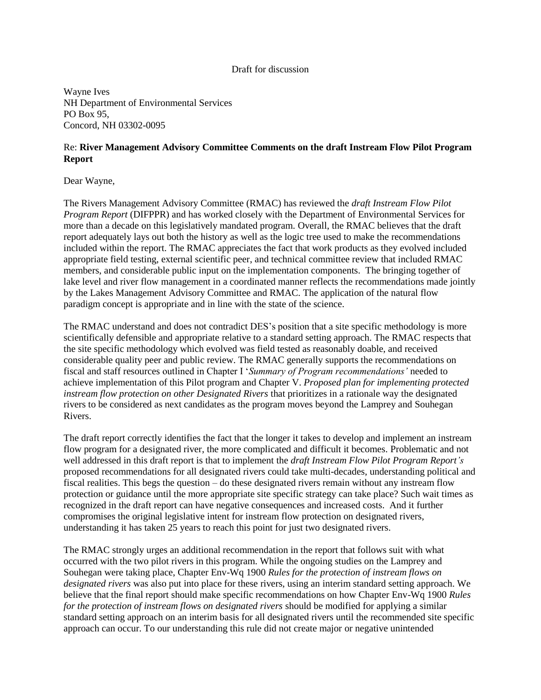## Draft for discussion

Wayne Ives NH Department of Environmental Services PO Box 95, Concord, NH 03302-0095

## Re: **River Management Advisory Committee Comments on the draft Instream Flow Pilot Program Report**

Dear Wayne,

The Rivers Management Advisory Committee (RMAC) has reviewed the *draft Instream Flow Pilot Program Report* (DIFPPR) and has worked closely with the Department of Environmental Services for more than a decade on this legislatively mandated program. Overall, the RMAC believes that the draft report adequately lays out both the history as well as the logic tree used to make the recommendations included within the report. The RMAC appreciates the fact that work products as they evolved included appropriate field testing, external scientific peer, and technical committee review that included RMAC members, and considerable public input on the implementation components. The bringing together of lake level and river flow management in a coordinated manner reflects the recommendations made jointly by the Lakes Management Advisory Committee and RMAC. The application of the natural flow paradigm concept is appropriate and in line with the state of the science.

The RMAC understand and does not contradict DES's position that a site specific methodology is more scientifically defensible and appropriate relative to a standard setting approach. The RMAC respects that the site specific methodology which evolved was field tested as reasonably doable, and received considerable quality peer and public review. The RMAC generally supports the recommendations on fiscal and staff resources outlined in Chapter I '*Summary of Program recommendations'* needed to achieve implementation of this Pilot program and Chapter V. *Proposed plan for implementing protected instream flow protection on other Designated Rivers* that prioritizes in a rationale way the designated rivers to be considered as next candidates as the program moves beyond the Lamprey and Souhegan Rivers.

The draft report correctly identifies the fact that the longer it takes to develop and implement an instream flow program for a designated river, the more complicated and difficult it becomes. Problematic and not well addressed in this draft report is that to implement the *draft Instream Flow Pilot Program Report's*  proposed recommendations for all designated rivers could take multi-decades, understanding political and fiscal realities. This begs the question – do these designated rivers remain without any instream flow protection or guidance until the more appropriate site specific strategy can take place? Such wait times as recognized in the draft report can have negative consequences and increased costs. And it further compromises the original legislative intent for instream flow protection on designated rivers, understanding it has taken 25 years to reach this point for just two designated rivers.

The RMAC strongly urges an additional recommendation in the report that follows suit with what occurred with the two pilot rivers in this program. While the ongoing studies on the Lamprey and Souhegan were taking place, Chapter Env-Wq 1900 *Rules for the protection of instream flows on designated rivers* was also put into place for these rivers, using an interim standard setting approach. We believe that the final report should make specific recommendations on how Chapter Env-Wq 1900 *Rules for the protection of instream flows on designated rivers* should be modified for applying a similar standard setting approach on an interim basis for all designated rivers until the recommended site specific approach can occur. To our understanding this rule did not create major or negative unintended